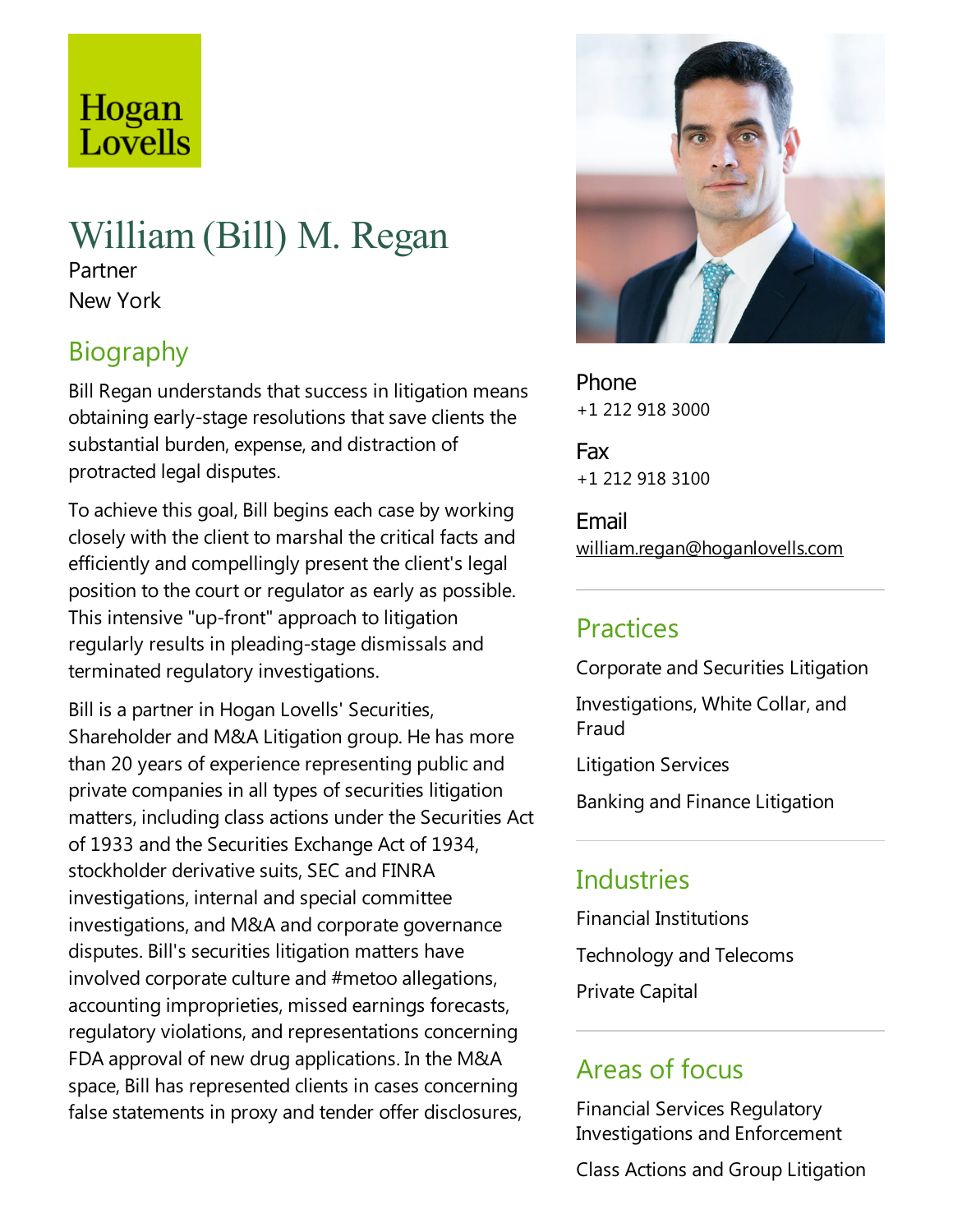# Hogan Lovells

## William(Bill) M. Regan

Partner New York

## Biography

Bill Regan understands that success in litigation means obtaining early-stage resolutions that save clients the substantial burden, expense, and distraction of protracted legal disputes.

To achieve this goal, Bill begins each case by working closely with the client to marshal the critical facts and efficiently and compellingly present the client's legal position to the court or regulator as early as possible. This intensive "up-front" approach to litigation regularly results in pleading-stage dismissals and terminated regulatory investigations.

Bill is a partner in Hogan Lovells' Securities, Shareholder and M&A Litigation group. He has more than 20 years of experience representing public and private companies in all types of securities litigation matters, including class actions under the Securities Act of 1933 and the Securities Exchange Act of 1934, stockholder derivative suits, SEC and FINRA investigations, internal and special committee investigations, and M&A and corporate governance disputes. Bill's securities litigation matters have involved corporate culture and #metoo allegations, accounting improprieties, missed earnings forecasts, regulatory violations, and representations concerning FDA approval of new drug applications. In the M&A space, Bill has represented clients in cases concerning false statements in proxy and tender offer disclosures,



Phone +1 212 918 3000

Fax +1 212 918 3100

Email william.regan@hoganlovells.com

## Practices

Corporate and Securities Litigation

Investigations, White Collar, and Fraud

Litigation Services

Banking and Finance Litigation

#### **Industries**

Financial Institutions Technology and Telecoms Private Capital

## Areas of focus

Financial Services Regulatory Investigations and Enforcement

Class Actions and Group Litigation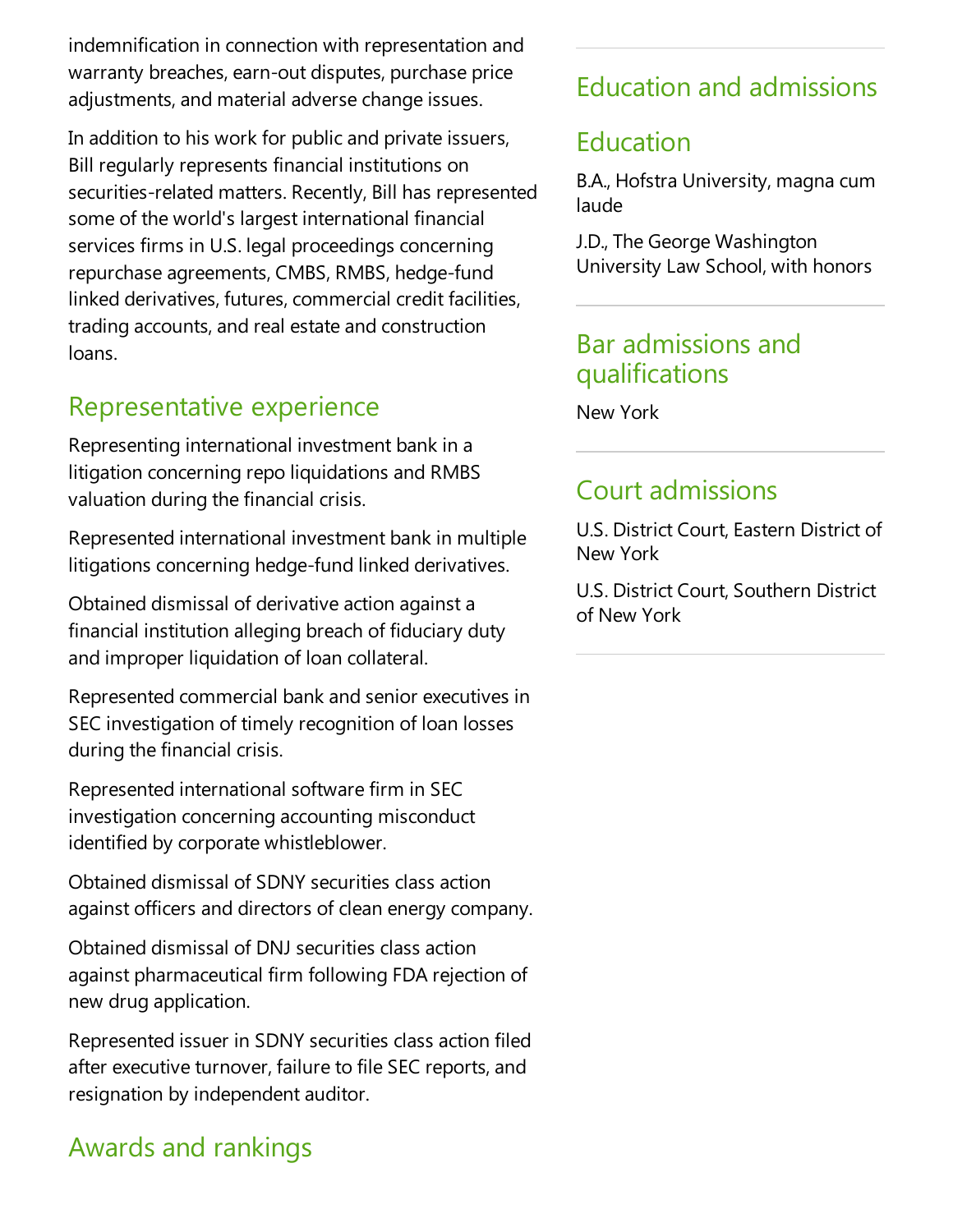indemnification in connection with representation and warranty breaches, earn-out disputes, purchase price adjustments, and material adverse change issues.

In addition to his work for public and private issuers, Bill regularly represents financial institutions on securities-related matters. Recently, Bill has represented some of the world's largest international financial services firms in U.S. legal proceedings concerning repurchase agreements, CMBS, RMBS, hedge-fund linked derivatives, futures, commercial credit facilities, trading accounts, and real estate and construction loans.

## Representative experience

Representing international investment bank in a litigation concerning repo liquidations and RMBS valuation during the financial crisis.

Represented international investment bank in multiple litigations concerning hedge-fund linked derivatives.

Obtained dismissal of derivative action against a financial institution alleging breach of fiduciary duty and improper liquidation of loan collateral.

Represented commercial bank and senior executives in SEC investigation of timely recognition of loan losses during the financial crisis.

Represented international software firm in SEC investigation concerning accounting misconduct identified by corporate whistleblower.

Obtained dismissal of SDNY securities class action against officers and directors of clean energy company.

Obtained dismissal of DNJ securities class action against pharmaceutical firm following FDA rejection of new drug application.

Represented issuer in SDNY securities class action filed after executive turnover, failure to file SEC reports, and resignation by independent auditor.

## Awards and rankings

## Education and admissions

## Education

B.A., Hofstra University, magna cum laude

J.D.,The George Washington University Law School, with honors

#### Bar admissions and qualifications

New York

## Court admissions

U.S. District Court, Eastern District of New York

U.S. District Court, Southern District of New York